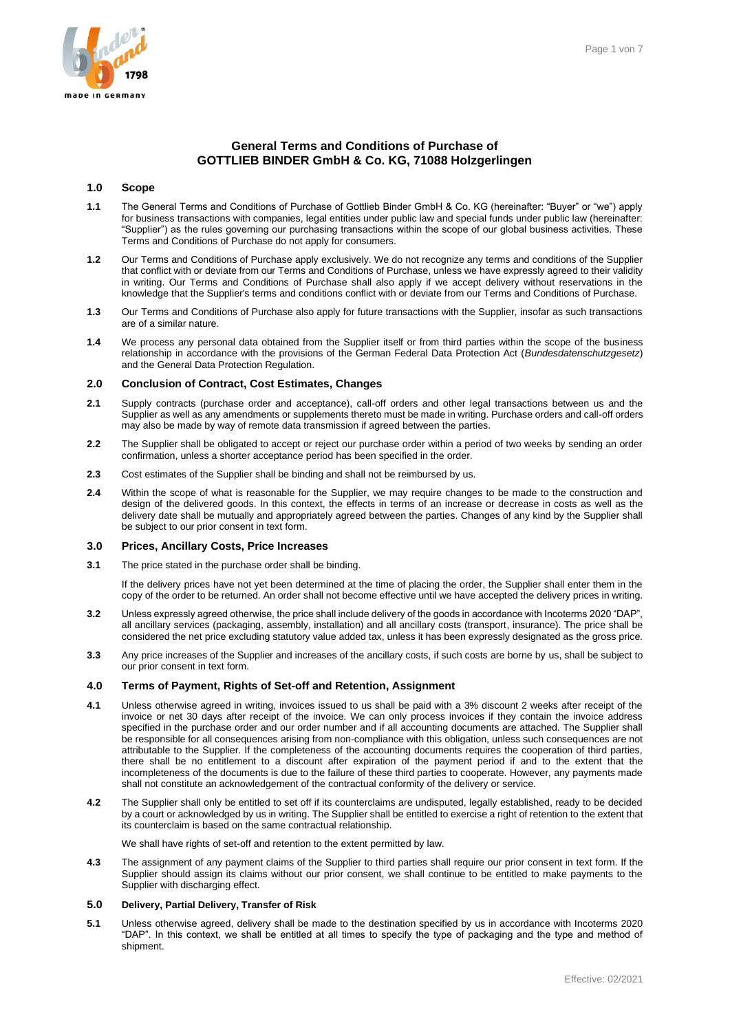# **General Terms and Conditions of Purchase of GOTTLIEB BINDER GmbH & Co. KG, 71088 Holzgerlingen**

### **1.0 Scope**

- **1.1** The General Terms and Conditions of Purchase of Gottlieb Binder GmbH & Co. KG (hereinafter: "Buyer" or "we") apply for business transactions with companies, legal entities under public law and special funds under public law (hereinafter: "Supplier") as the rules governing our purchasing transactions within the scope of our global business activities. These Terms and Conditions of Purchase do not apply for consumers.
- **1.2** Our Terms and Conditions of Purchase apply exclusively. We do not recognize any terms and conditions of the Supplier that conflict with or deviate from our Terms and Conditions of Purchase, unless we have expressly agreed to their validity in writing. Our Terms and Conditions of Purchase shall also apply if we accept delivery without reservations in the knowledge that the Supplier's terms and conditions conflict with or deviate from our Terms and Conditions of Purchase.
- **1.3** Our Terms and Conditions of Purchase also apply for future transactions with the Supplier, insofar as such transactions are of a similar nature.
- **1.4** We process any personal data obtained from the Supplier itself or from third parties within the scope of the business relationship in accordance with the provisions of the German Federal Data Protection Act (*Bundesdatenschutzgesetz*) and the General Data Protection Regulation.

### **2.0 Conclusion of Contract, Cost Estimates, Changes**

- **2.1** Supply contracts (purchase order and acceptance), call-off orders and other legal transactions between us and the Supplier as well as any amendments or supplements thereto must be made in writing. Purchase orders and call-off orders may also be made by way of remote data transmission if agreed between the parties.
- **2.2** The Supplier shall be obligated to accept or reject our purchase order within a period of two weeks by sending an order confirmation, unless a shorter acceptance period has been specified in the order.
- **2.3** Cost estimates of the Supplier shall be binding and shall not be reimbursed by us.
- **2.4** Within the scope of what is reasonable for the Supplier, we may require changes to be made to the construction and design of the delivered goods. In this context, the effects in terms of an increase or decrease in costs as well as the delivery date shall be mutually and appropriately agreed between the parties. Changes of any kind by the Supplier shall be subject to our prior consent in text form.

### **3.0 Prices, Ancillary Costs, Price Increases**

**3.1** The price stated in the purchase order shall be binding.

If the delivery prices have not yet been determined at the time of placing the order, the Supplier shall enter them in the copy of the order to be returned. An order shall not become effective until we have accepted the delivery prices in writing.

- **3.2** Unless expressly agreed otherwise, the price shall include delivery of the goods in accordance with Incoterms 2020 "DAP", all ancillary services (packaging, assembly, installation) and all ancillary costs (transport, insurance). The price shall be considered the net price excluding statutory value added tax, unless it has been expressly designated as the gross price.
- **3.3** Any price increases of the Supplier and increases of the ancillary costs, if such costs are borne by us, shall be subject to our prior consent in text form.

### **4.0 Terms of Payment, Rights of Set-off and Retention, Assignment**

- **4.1** Unless otherwise agreed in writing, invoices issued to us shall be paid with a 3% discount 2 weeks after receipt of the invoice or net 30 days after receipt of the invoice. We can only process invoices if they contain the invoice address specified in the purchase order and our order number and if all accounting documents are attached. The Supplier shall be responsible for all consequences arising from non-compliance with this obligation, unless such consequences are not attributable to the Supplier. If the completeness of the accounting documents requires the cooperation of third parties, there shall be no entitlement to a discount after expiration of the payment period if and to the extent that the incompleteness of the documents is due to the failure of these third parties to cooperate. However, any payments made shall not constitute an acknowledgement of the contractual conformity of the delivery or service.
- **4.2** The Supplier shall only be entitled to set off if its counterclaims are undisputed, legally established, ready to be decided by a court or acknowledged by us in writing. The Supplier shall be entitled to exercise a right of retention to the extent that its counterclaim is based on the same contractual relationship.

We shall have rights of set-off and retention to the extent permitted by law.

**4.3** The assignment of any payment claims of the Supplier to third parties shall require our prior consent in text form. If the Supplier should assign its claims without our prior consent, we shall continue to be entitled to make payments to the Supplier with discharging effect.

### **5.0 Delivery, Partial Delivery, Transfer of Risk**

**5.1** Unless otherwise agreed, delivery shall be made to the destination specified by us in accordance with Incoterms 2020 "DAP". In this context, we shall be entitled at all times to specify the type of packaging and the type and method of shipment.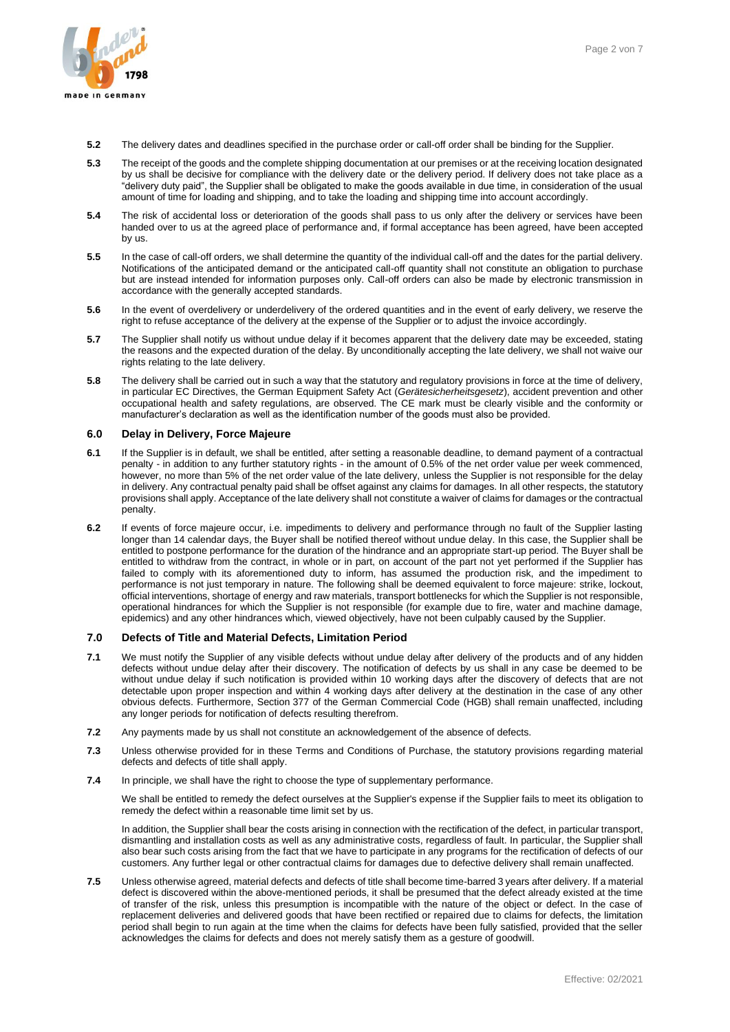

- **5.2** The delivery dates and deadlines specified in the purchase order or call-off order shall be binding for the Supplier.
- **5.3** The receipt of the goods and the complete shipping documentation at our premises or at the receiving location designated by us shall be decisive for compliance with the delivery date or the delivery period. If delivery does not take place as a "delivery duty paid", the Supplier shall be obligated to make the goods available in due time, in consideration of the usual amount of time for loading and shipping, and to take the loading and shipping time into account accordingly.
- **5.4** The risk of accidental loss or deterioration of the goods shall pass to us only after the delivery or services have been handed over to us at the agreed place of performance and, if formal acceptance has been agreed, have been accepted by us.
- **5.5** In the case of call-off orders, we shall determine the quantity of the individual call-off and the dates for the partial delivery. Notifications of the anticipated demand or the anticipated call-off quantity shall not constitute an obligation to purchase but are instead intended for information purposes only. Call-off orders can also be made by electronic transmission in accordance with the generally accepted standards.
- **5.6** In the event of overdelivery or underdelivery of the ordered quantities and in the event of early delivery, we reserve the right to refuse acceptance of the delivery at the expense of the Supplier or to adjust the invoice accordingly.
- **5.7** The Supplier shall notify us without undue delay if it becomes apparent that the delivery date may be exceeded, stating the reasons and the expected duration of the delay. By unconditionally accepting the late delivery, we shall not waive our rights relating to the late delivery.
- **5.8** The delivery shall be carried out in such a way that the statutory and regulatory provisions in force at the time of delivery, in particular EC Directives, the German Equipment Safety Act (*Gerätesicherheitsgesetz*), accident prevention and other occupational health and safety regulations, are observed. The CE mark must be clearly visible and the conformity or manufacturer's declaration as well as the identification number of the goods must also be provided.

# **6.0 Delay in Delivery, Force Majeure**

- **6.1** If the Supplier is in default, we shall be entitled, after setting a reasonable deadline, to demand payment of a contractual penalty - in addition to any further statutory rights - in the amount of 0.5% of the net order value per week commenced, however, no more than 5% of the net order value of the late delivery, unless the Supplier is not responsible for the delay in delivery. Any contractual penalty paid shall be offset against any claims for damages. In all other respects, the statutory provisions shall apply. Acceptance of the late delivery shall not constitute a waiver of claims for damages or the contractual penalty.
- **6.2** If events of force majeure occur, i.e. impediments to delivery and performance through no fault of the Supplier lasting longer than 14 calendar days, the Buyer shall be notified thereof without undue delay. In this case, the Supplier shall be entitled to postpone performance for the duration of the hindrance and an appropriate start-up period. The Buyer shall be entitled to withdraw from the contract, in whole or in part, on account of the part not yet performed if the Supplier has failed to comply with its aforementioned duty to inform, has assumed the production risk, and the impediment to performance is not just temporary in nature. The following shall be deemed equivalent to force majeure: strike, lockout, official interventions, shortage of energy and raw materials, transport bottlenecks for which the Supplier is not responsible, operational hindrances for which the Supplier is not responsible (for example due to fire, water and machine damage, epidemics) and any other hindrances which, viewed objectively, have not been culpably caused by the Supplier.

# **7.0 Defects of Title and Material Defects, Limitation Period**

- **7.1** We must notify the Supplier of any visible defects without undue delay after delivery of the products and of any hidden defects without undue delay after their discovery. The notification of defects by us shall in any case be deemed to be without undue delay if such notification is provided within 10 working days after the discovery of defects that are not detectable upon proper inspection and within 4 working days after delivery at the destination in the case of any other obvious defects. Furthermore, Section 377 of the German Commercial Code (HGB) shall remain unaffected, including any longer periods for notification of defects resulting therefrom.
- **7.2** Any payments made by us shall not constitute an acknowledgement of the absence of defects.
- **7.3** Unless otherwise provided for in these Terms and Conditions of Purchase, the statutory provisions regarding material defects and defects of title shall apply.
- **7.4** In principle, we shall have the right to choose the type of supplementary performance.

We shall be entitled to remedy the defect ourselves at the Supplier's expense if the Supplier fails to meet its obligation to remedy the defect within a reasonable time limit set by us.

In addition, the Supplier shall bear the costs arising in connection with the rectification of the defect, in particular transport, dismantling and installation costs as well as any administrative costs, regardless of fault. In particular, the Supplier shall also bear such costs arising from the fact that we have to participate in any programs for the rectification of defects of our customers. Any further legal or other contractual claims for damages due to defective delivery shall remain unaffected.

**7.5** Unless otherwise agreed, material defects and defects of title shall become time-barred 3 years after delivery. If a material defect is discovered within the above-mentioned periods, it shall be presumed that the defect already existed at the time of transfer of the risk, unless this presumption is incompatible with the nature of the object or defect. In the case of replacement deliveries and delivered goods that have been rectified or repaired due to claims for defects, the limitation period shall begin to run again at the time when the claims for defects have been fully satisfied, provided that the seller acknowledges the claims for defects and does not merely satisfy them as a gesture of goodwill.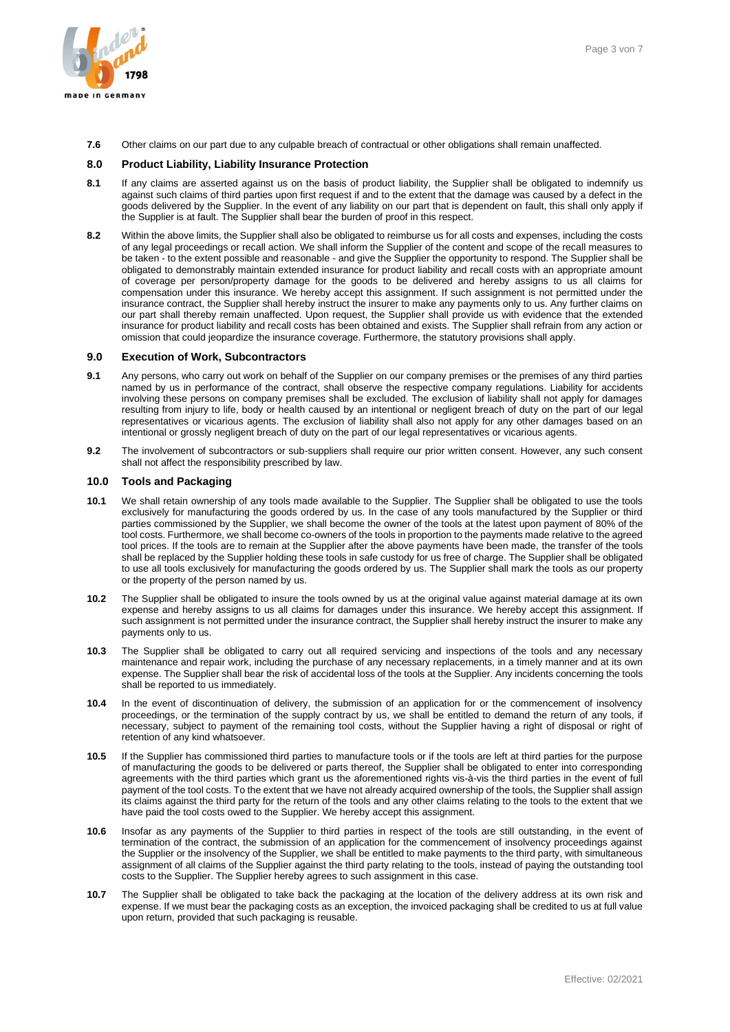

**7.6** Other claims on our part due to any culpable breach of contractual or other obligations shall remain unaffected.

### **8.0 Product Liability, Liability Insurance Protection**

- **8.1** If any claims are asserted against us on the basis of product liability, the Supplier shall be obligated to indemnify us against such claims of third parties upon first request if and to the extent that the damage was caused by a defect in the goods delivered by the Supplier. In the event of any liability on our part that is dependent on fault, this shall only apply if the Supplier is at fault. The Supplier shall bear the burden of proof in this respect.
- **8.2** Within the above limits, the Supplier shall also be obligated to reimburse us for all costs and expenses, including the costs of any legal proceedings or recall action. We shall inform the Supplier of the content and scope of the recall measures to be taken - to the extent possible and reasonable - and give the Supplier the opportunity to respond. The Supplier shall be obligated to demonstrably maintain extended insurance for product liability and recall costs with an appropriate amount of coverage per person/property damage for the goods to be delivered and hereby assigns to us all claims for compensation under this insurance. We hereby accept this assignment. If such assignment is not permitted under the insurance contract, the Supplier shall hereby instruct the insurer to make any payments only to us. Any further claims on our part shall thereby remain unaffected. Upon request, the Supplier shall provide us with evidence that the extended insurance for product liability and recall costs has been obtained and exists. The Supplier shall refrain from any action or omission that could jeopardize the insurance coverage. Furthermore, the statutory provisions shall apply.

#### **9.0 Execution of Work, Subcontractors**

- **9.1** Any persons, who carry out work on behalf of the Supplier on our company premises or the premises of any third parties named by us in performance of the contract, shall observe the respective company regulations. Liability for accidents involving these persons on company premises shall be excluded. The exclusion of liability shall not apply for damages resulting from injury to life, body or health caused by an intentional or negligent breach of duty on the part of our legal representatives or vicarious agents. The exclusion of liability shall also not apply for any other damages based on an intentional or grossly negligent breach of duty on the part of our legal representatives or vicarious agents.
- **9.2** The involvement of subcontractors or sub-suppliers shall require our prior written consent. However, any such consent shall not affect the responsibility prescribed by law.

# **10.0 Tools and Packaging**

- **10.1** We shall retain ownership of any tools made available to the Supplier. The Supplier shall be obligated to use the tools exclusively for manufacturing the goods ordered by us. In the case of any tools manufactured by the Supplier or third parties commissioned by the Supplier, we shall become the owner of the tools at the latest upon payment of 80% of the tool costs. Furthermore, we shall become co-owners of the tools in proportion to the payments made relative to the agreed tool prices. If the tools are to remain at the Supplier after the above payments have been made, the transfer of the tools shall be replaced by the Supplier holding these tools in safe custody for us free of charge. The Supplier shall be obligated to use all tools exclusively for manufacturing the goods ordered by us. The Supplier shall mark the tools as our property or the property of the person named by us.
- **10.2** The Supplier shall be obligated to insure the tools owned by us at the original value against material damage at its own expense and hereby assigns to us all claims for damages under this insurance. We hereby accept this assignment. If such assignment is not permitted under the insurance contract, the Supplier shall hereby instruct the insurer to make any payments only to us.
- **10.3** The Supplier shall be obligated to carry out all required servicing and inspections of the tools and any necessary maintenance and repair work, including the purchase of any necessary replacements, in a timely manner and at its own expense. The Supplier shall bear the risk of accidental loss of the tools at the Supplier. Any incidents concerning the tools shall be reported to us immediately.
- **10.4** In the event of discontinuation of delivery, the submission of an application for or the commencement of insolvency proceedings, or the termination of the supply contract by us, we shall be entitled to demand the return of any tools, if necessary, subject to payment of the remaining tool costs, without the Supplier having a right of disposal or right of retention of any kind whatsoever.
- **10.5** If the Supplier has commissioned third parties to manufacture tools or if the tools are left at third parties for the purpose of manufacturing the goods to be delivered or parts thereof, the Supplier shall be obligated to enter into corresponding agreements with the third parties which grant us the aforementioned rights vis-à-vis the third parties in the event of full payment of the tool costs. To the extent that we have not already acquired ownership of the tools, the Supplier shall assign its claims against the third party for the return of the tools and any other claims relating to the tools to the extent that we have paid the tool costs owed to the Supplier. We hereby accept this assignment.
- **10.6** Insofar as any payments of the Supplier to third parties in respect of the tools are still outstanding, in the event of termination of the contract, the submission of an application for the commencement of insolvency proceedings against the Supplier or the insolvency of the Supplier, we shall be entitled to make payments to the third party, with simultaneous assignment of all claims of the Supplier against the third party relating to the tools, instead of paying the outstanding tool costs to the Supplier. The Supplier hereby agrees to such assignment in this case.
- **10.7** The Supplier shall be obligated to take back the packaging at the location of the delivery address at its own risk and expense. If we must bear the packaging costs as an exception, the invoiced packaging shall be credited to us at full value upon return, provided that such packaging is reusable.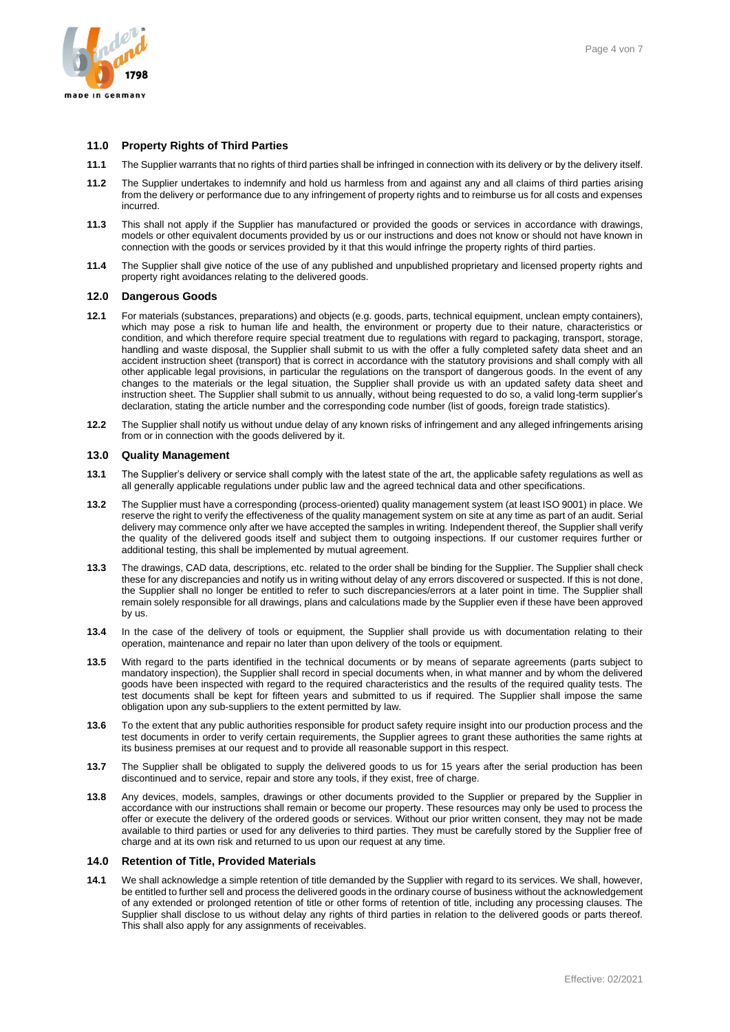

# **11.0 Property Rights of Third Parties**

- **11.1** The Supplier warrants that no rights of third parties shall be infringed in connection with its delivery or by the delivery itself.
- **11.2** The Supplier undertakes to indemnify and hold us harmless from and against any and all claims of third parties arising from the delivery or performance due to any infringement of property rights and to reimburse us for all costs and expenses incurred.
- **11.3** This shall not apply if the Supplier has manufactured or provided the goods or services in accordance with drawings, models or other equivalent documents provided by us or our instructions and does not know or should not have known in connection with the goods or services provided by it that this would infringe the property rights of third parties.
- **11.4** The Supplier shall give notice of the use of any published and unpublished proprietary and licensed property rights and property right avoidances relating to the delivered goods.

#### **12.0 Dangerous Goods**

- **12.1** For materials (substances, preparations) and objects (e.g. goods, parts, technical equipment, unclean empty containers), which may pose a risk to human life and health, the environment or property due to their nature, characteristics or condition, and which therefore require special treatment due to regulations with regard to packaging, transport, storage, handling and waste disposal, the Supplier shall submit to us with the offer a fully completed safety data sheet and an accident instruction sheet (transport) that is correct in accordance with the statutory provisions and shall comply with all other applicable legal provisions, in particular the regulations on the transport of dangerous goods. In the event of any changes to the materials or the legal situation, the Supplier shall provide us with an updated safety data sheet and instruction sheet. The Supplier shall submit to us annually, without being requested to do so, a valid long-term supplier's declaration, stating the article number and the corresponding code number (list of goods, foreign trade statistics).
- **12.2** The Supplier shall notify us without undue delay of any known risks of infringement and any alleged infringements arising from or in connection with the goods delivered by it.

### **13.0 Quality Management**

- **13.1** The Supplier's delivery or service shall comply with the latest state of the art, the applicable safety regulations as well as all generally applicable regulations under public law and the agreed technical data and other specifications.
- **13.2** The Supplier must have a corresponding (process-oriented) quality management system (at least ISO 9001) in place. We reserve the right to verify the effectiveness of the quality management system on site at any time as part of an audit. Serial delivery may commence only after we have accepted the samples in writing. Independent thereof, the Supplier shall verify the quality of the delivered goods itself and subject them to outgoing inspections. If our customer requires further or additional testing, this shall be implemented by mutual agreement.
- **13.3** The drawings, CAD data, descriptions, etc. related to the order shall be binding for the Supplier. The Supplier shall check these for any discrepancies and notify us in writing without delay of any errors discovered or suspected. If this is not done, the Supplier shall no longer be entitled to refer to such discrepancies/errors at a later point in time. The Supplier shall remain solely responsible for all drawings, plans and calculations made by the Supplier even if these have been approved by us.
- **13.4** In the case of the delivery of tools or equipment, the Supplier shall provide us with documentation relating to their operation, maintenance and repair no later than upon delivery of the tools or equipment.
- **13.5** With regard to the parts identified in the technical documents or by means of separate agreements (parts subject to mandatory inspection), the Supplier shall record in special documents when, in what manner and by whom the delivered goods have been inspected with regard to the required characteristics and the results of the required quality tests. The test documents shall be kept for fifteen years and submitted to us if required. The Supplier shall impose the same obligation upon any sub-suppliers to the extent permitted by law.
- **13.6** To the extent that any public authorities responsible for product safety require insight into our production process and the test documents in order to verify certain requirements, the Supplier agrees to grant these authorities the same rights at its business premises at our request and to provide all reasonable support in this respect.
- **13.7** The Supplier shall be obligated to supply the delivered goods to us for 15 years after the serial production has been discontinued and to service, repair and store any tools, if they exist, free of charge.
- **13.8** Any devices, models, samples, drawings or other documents provided to the Supplier or prepared by the Supplier in accordance with our instructions shall remain or become our property. These resources may only be used to process the offer or execute the delivery of the ordered goods or services. Without our prior written consent, they may not be made available to third parties or used for any deliveries to third parties. They must be carefully stored by the Supplier free of charge and at its own risk and returned to us upon our request at any time.

# **14.0 Retention of Title, Provided Materials**

**14.1** We shall acknowledge a simple retention of title demanded by the Supplier with regard to its services. We shall, however, be entitled to further sell and process the delivered goods in the ordinary course of business without the acknowledgement of any extended or prolonged retention of title or other forms of retention of title, including any processing clauses. The Supplier shall disclose to us without delay any rights of third parties in relation to the delivered goods or parts thereof. This shall also apply for any assignments of receivables.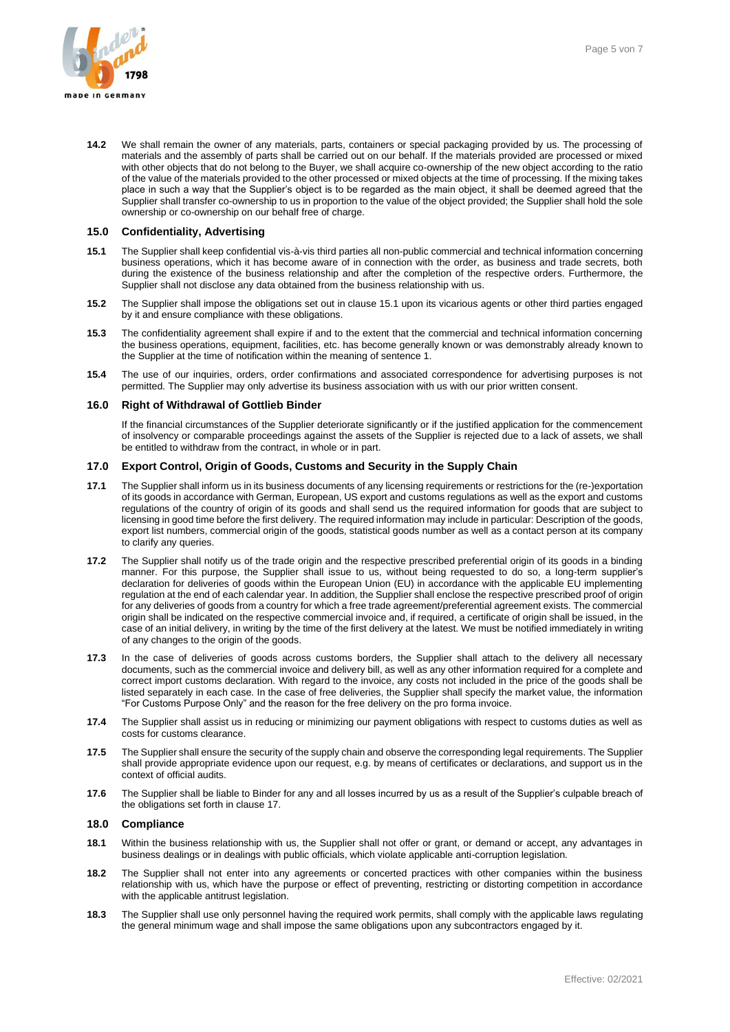

**14.2** We shall remain the owner of any materials, parts, containers or special packaging provided by us. The processing of materials and the assembly of parts shall be carried out on our behalf. If the materials provided are processed or mixed with other objects that do not belong to the Buyer, we shall acquire co-ownership of the new object according to the ratio of the value of the materials provided to the other processed or mixed objects at the time of processing. If the mixing takes place in such a way that the Supplier's object is to be regarded as the main object, it shall be deemed agreed that the Supplier shall transfer co-ownership to us in proportion to the value of the object provided; the Supplier shall hold the sole ownership or co-ownership on our behalf free of charge.

### **15.0 Confidentiality, Advertising**

- **15.1** The Supplier shall keep confidential vis-à-vis third parties all non-public commercial and technical information concerning business operations, which it has become aware of in connection with the order, as business and trade secrets, both during the existence of the business relationship and after the completion of the respective orders. Furthermore, the Supplier shall not disclose any data obtained from the business relationship with us.
- **15.2** The Supplier shall impose the obligations set out in clause 15.1 upon its vicarious agents or other third parties engaged by it and ensure compliance with these obligations.
- **15.3** The confidentiality agreement shall expire if and to the extent that the commercial and technical information concerning the business operations, equipment, facilities, etc. has become generally known or was demonstrably already known to the Supplier at the time of notification within the meaning of sentence 1.
- **15.4** The use of our inquiries, orders, order confirmations and associated correspondence for advertising purposes is not permitted. The Supplier may only advertise its business association with us with our prior written consent.

#### **16.0 Right of Withdrawal of Gottlieb Binder**

If the financial circumstances of the Supplier deteriorate significantly or if the justified application for the commencement of insolvency or comparable proceedings against the assets of the Supplier is rejected due to a lack of assets, we shall be entitled to withdraw from the contract, in whole or in part.

#### **17.0 Export Control, Origin of Goods, Customs and Security in the Supply Chain**

- **17.1** The Supplier shall inform us in its business documents of any licensing requirements or restrictions for the (re-)exportation of its goods in accordance with German, European, US export and customs regulations as well as the export and customs regulations of the country of origin of its goods and shall send us the required information for goods that are subject to licensing in good time before the first delivery. The required information may include in particular: Description of the goods, export list numbers, commercial origin of the goods, statistical goods number as well as a contact person at its company to clarify any queries.
- **17.2** The Supplier shall notify us of the trade origin and the respective prescribed preferential origin of its goods in a binding manner. For this purpose, the Supplier shall issue to us, without being requested to do so, a long-term supplier's declaration for deliveries of goods within the European Union (EU) in accordance with the applicable EU implementing regulation at the end of each calendar year. In addition, the Supplier shall enclose the respective prescribed proof of origin for any deliveries of goods from a country for which a free trade agreement/preferential agreement exists. The commercial origin shall be indicated on the respective commercial invoice and, if required, a certificate of origin shall be issued, in the case of an initial delivery, in writing by the time of the first delivery at the latest. We must be notified immediately in writing of any changes to the origin of the goods.
- **17.3** In the case of deliveries of goods across customs borders, the Supplier shall attach to the delivery all necessary documents, such as the commercial invoice and delivery bill, as well as any other information required for a complete and correct import customs declaration. With regard to the invoice, any costs not included in the price of the goods shall be listed separately in each case. In the case of free deliveries, the Supplier shall specify the market value, the information "For Customs Purpose Only" and the reason for the free delivery on the pro forma invoice.
- **17.4** The Supplier shall assist us in reducing or minimizing our payment obligations with respect to customs duties as well as costs for customs clearance.
- **17.5** The Supplier shall ensure the security of the supply chain and observe the corresponding legal requirements. The Supplier shall provide appropriate evidence upon our request, e.g. by means of certificates or declarations, and support us in the context of official audits.
- **17.6** The Supplier shall be liable to Binder for any and all losses incurred by us as a result of the Supplier's culpable breach of the obligations set forth in clause 17.

### **18.0 Compliance**

- **18.1** Within the business relationship with us, the Supplier shall not offer or grant, or demand or accept, any advantages in business dealings or in dealings with public officials, which violate applicable anti-corruption legislation.
- **18.2** The Supplier shall not enter into any agreements or concerted practices with other companies within the business relationship with us, which have the purpose or effect of preventing, restricting or distorting competition in accordance with the applicable antitrust legislation.
- **18.3** The Supplier shall use only personnel having the required work permits, shall comply with the applicable laws regulating the general minimum wage and shall impose the same obligations upon any subcontractors engaged by it.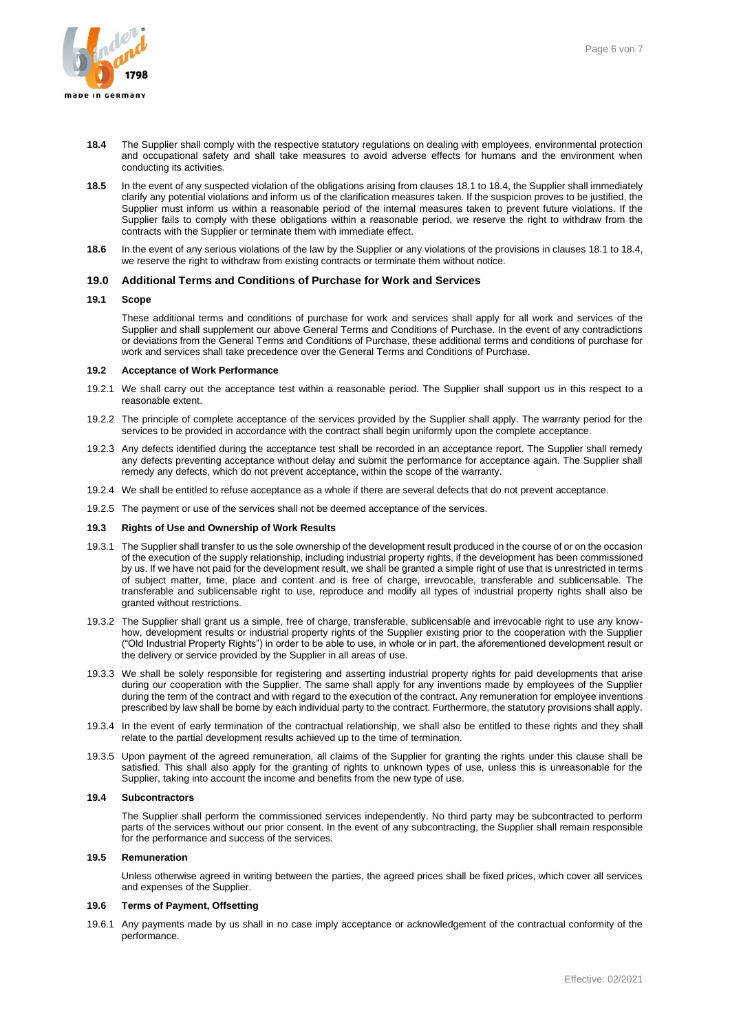

- **18.4** The Supplier shall comply with the respective statutory regulations on dealing with employees, environmental protection and occupational safety and shall take measures to avoid adverse effects for humans and the environment when conducting its activities.
- **18.5** In the event of any suspected violation of the obligations arising from clauses 18.1 to 18.4, the Supplier shall immediately clarify any potential violations and inform us of the clarification measures taken. If the suspicion proves to be justified, the Supplier must inform us within a reasonable period of the internal measures taken to prevent future violations. If the Supplier fails to comply with these obligations within a reasonable period, we reserve the right to withdraw from the contracts with the Supplier or terminate them with immediate effect.
- **18.6** In the event of any serious violations of the law by the Supplier or any violations of the provisions in clauses 18.1 to 18.4, we reserve the right to withdraw from existing contracts or terminate them without notice.

### **19.0 Additional Terms and Conditions of Purchase for Work and Services**

### **19.1 Scope**

These additional terms and conditions of purchase for work and services shall apply for all work and services of the Supplier and shall supplement our above General Terms and Conditions of Purchase. In the event of any contradictions or deviations from the General Terms and Conditions of Purchase, these additional terms and conditions of purchase for work and services shall take precedence over the General Terms and Conditions of Purchase.

#### **19.2 Acceptance of Work Performance**

- 19.2.1 We shall carry out the acceptance test within a reasonable period. The Supplier shall support us in this respect to a reasonable extent.
- 19.2.2 The principle of complete acceptance of the services provided by the Supplier shall apply. The warranty period for the services to be provided in accordance with the contract shall begin uniformly upon the complete acceptance.
- 19.2.3 Any defects identified during the acceptance test shall be recorded in an acceptance report. The Supplier shall remedy any defects preventing acceptance without delay and submit the performance for acceptance again. The Supplier shall remedy any defects, which do not prevent acceptance, within the scope of the warranty.
- 19.2.4 We shall be entitled to refuse acceptance as a whole if there are several defects that do not prevent acceptance.
- 19.2.5 The payment or use of the services shall not be deemed acceptance of the services.

#### **19.3 Rights of Use and Ownership of Work Results**

- 19.3.1 The Supplier shall transfer to us the sole ownership of the development result produced in the course of or on the occasion of the execution of the supply relationship, including industrial property rights, if the development has been commissioned by us. If we have not paid for the development result, we shall be granted a simple right of use that is unrestricted in terms of subject matter, time, place and content and is free of charge, irrevocable, transferable and sublicensable. The transferable and sublicensable right to use, reproduce and modify all types of industrial property rights shall also be granted without restrictions.
- 19.3.2 The Supplier shall grant us a simple, free of charge, transferable, sublicensable and irrevocable right to use any knowhow, development results or industrial property rights of the Supplier existing prior to the cooperation with the Supplier ("Old Industrial Property Rights") in order to be able to use, in whole or in part, the aforementioned development result or the delivery or service provided by the Supplier in all areas of use.
- 19.3.3 We shall be solely responsible for registering and asserting industrial property rights for paid developments that arise during our cooperation with the Supplier. The same shall apply for any inventions made by employees of the Supplier during the term of the contract and with regard to the execution of the contract. Any remuneration for employee inventions prescribed by law shall be borne by each individual party to the contract. Furthermore, the statutory provisions shall apply.
- 19.3.4 In the event of early termination of the contractual relationship, we shall also be entitled to these rights and they shall relate to the partial development results achieved up to the time of termination.
- 19.3.5 Upon payment of the agreed remuneration, all claims of the Supplier for granting the rights under this clause shall be satisfied. This shall also apply for the granting of rights to unknown types of use, unless this is unreasonable for the Supplier, taking into account the income and benefits from the new type of use.

# **19.4 Subcontractors**

The Supplier shall perform the commissioned services independently. No third party may be subcontracted to perform parts of the services without our prior consent. In the event of any subcontracting, the Supplier shall remain responsible for the performance and success of the services.

# **19.5 Remuneration**

Unless otherwise agreed in writing between the parties, the agreed prices shall be fixed prices, which cover all services and expenses of the Supplier.

### **19.6 Terms of Payment, Offsetting**

19.6.1 Any payments made by us shall in no case imply acceptance or acknowledgement of the contractual conformity of the performance.